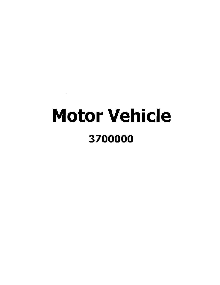# Motor Vehicle 3700000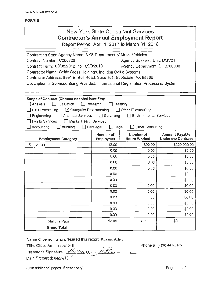# New York State Consultant Services **Contractor's Annual Employment Report**

Report Period: April 1, 2017 to March 31, 2018

| Contracting State Agency Name: NYS Department of Motor Vehicles                      |                                  |                                  |                                                    |  |  |
|--------------------------------------------------------------------------------------|----------------------------------|----------------------------------|----------------------------------------------------|--|--|
| Agency Business Unit: DMV01<br>Contract Number: C000726                              |                                  |                                  |                                                    |  |  |
| Contract Term: 08/08/2012 to 09/9/2018<br>Agency Department ID: 3700000              |                                  |                                  |                                                    |  |  |
| Contractor Name: Celtic Cross Holdings, Inc. dba Celtic Systems                      |                                  |                                  |                                                    |  |  |
| Contractor Address: 8961 E. Bell Road, Suite 101. Scotsdale, AX 85260                |                                  |                                  |                                                    |  |  |
| Description of Services Being Provided: International Registration Processing System |                                  |                                  |                                                    |  |  |
|                                                                                      |                                  |                                  |                                                    |  |  |
|                                                                                      |                                  |                                  |                                                    |  |  |
| Scope of Contract (Choose one that best fits):                                       |                                  |                                  |                                                    |  |  |
| Evaluation<br>Analysis                                                               | Research                         | Training                         |                                                    |  |  |
| $\boxtimes$ Computer Programming<br>Data Processing                                  |                                  | $\Box$ Other IT consulting       |                                                    |  |  |
| Architect Services<br>Engineering                                                    | $\Box$ Surveying                 | <b>Environmental Services</b>    |                                                    |  |  |
| <b>Health Services</b><br>□ Mental Health Services                                   |                                  |                                  |                                                    |  |  |
| Accounting<br>Auditing                                                               | $\Box$ Paralegal<br>$\Box$ Legal | □ Other Consulting               |                                                    |  |  |
| <b>Employment Category</b>                                                           | Number of<br><b>Employees</b>    | Number of<br><b>Hours Worked</b> | <b>Amount Payable</b><br><b>Under the Contract</b> |  |  |
| 15-1121.00                                                                           | 12.00                            | 1,692.00                         | \$200,000.00                                       |  |  |
|                                                                                      | 0.00                             | 0.00                             | \$0.00                                             |  |  |
|                                                                                      | 0.00                             | 0.00                             | \$0.00                                             |  |  |
|                                                                                      | 0.00                             | 0.00                             | \$0.00                                             |  |  |
|                                                                                      | 0.00                             | 0.00                             | \$0.00                                             |  |  |
|                                                                                      | 0.00                             | 0.00                             | \$0.00                                             |  |  |
|                                                                                      | 0.00                             | 0.00                             | \$0.00                                             |  |  |
|                                                                                      | 0.00                             | 0.00                             | \$0.00                                             |  |  |
|                                                                                      | 0.00                             | 0.00                             | \$0.00                                             |  |  |
|                                                                                      | 0.00                             | 0.00                             | \$0.00                                             |  |  |
|                                                                                      | 0.00                             | 0.00                             | \$0.00                                             |  |  |
|                                                                                      | 0.00                             | 0.00                             | \$0.00                                             |  |  |
|                                                                                      | 0.00                             | 0.00                             | \$0.00                                             |  |  |
| Total this Page                                                                      | 12.00                            | 1,692.00                         | \$200,000.00                                       |  |  |
| <b>Grand Total</b>                                                                   |                                  |                                  |                                                    |  |  |

Name of person who prepared this report: Roxane Allen<br>Title: Office Administrator II

Title: Office Administrator II<br>Preparer's Signature: <u>Accional</u> Alle<br>Date Prepared: 04/27/18

Phone #: (480) 447-5149

(Use additional pages, if necessary) example of the example of the example of the example of the example of the example of the example of the example of the example of the example of the example of the example of the examp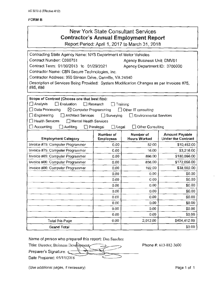| <b>New York State Consultant Services</b><br><b>Contractor's Annual Employment Report</b><br>Report Period: April 1, 2017 to March 31, 2018                                                                                                                                                                                                                   |                                                                         |                                                                                             |                                                    |  |
|---------------------------------------------------------------------------------------------------------------------------------------------------------------------------------------------------------------------------------------------------------------------------------------------------------------------------------------------------------------|-------------------------------------------------------------------------|---------------------------------------------------------------------------------------------|----------------------------------------------------|--|
| Contracting State Agency Name: NYS Department of Motor Vehicles<br>Contract Number: C000751<br>Contract Term: 01/30/2013 to 01/29/2021<br>Contractor Name: CBN Secure Technologies, Inc.<br>Contractor Address: 350 Stinson Drive, Danville, VA 24540<br>Description of Services Being Provided: System Modification Changes as per Invoices #75,<br>#85, #86 |                                                                         | Agency Business Unit: DMV01<br>Agency Department ID: 3700000                                |                                                    |  |
| Scope of Contract (Choose one that best fits):<br>$\square$ Analysis<br>$\Box$ Evaluation<br>$\Box$ Data Processing<br>$\boxtimes$ Computer Programming<br>$\Box$ Engineering<br>Architect Services<br>$\Box$ Health Services<br>Mental Health Services<br>$\Box$ Accounting<br>$\Box$ Auditing                                                               | $\Box$ Research<br>$\Box$ Surveying<br>$\Box$ Paralegal<br>$\Box$ Legal | Training<br>Other IT consulting<br><b>Environmental Services</b><br>$\Box$ Other Consulting |                                                    |  |
| <b>Employment Category</b>                                                                                                                                                                                                                                                                                                                                    | Number of<br><b>Employees</b>                                           | Number of<br><b>Hours Worked</b>                                                            | <b>Amount Payable</b><br><b>Under the Contract</b> |  |
| Invoice #75: Computer Programmer                                                                                                                                                                                                                                                                                                                              | 0.00                                                                    | 52.00                                                                                       | \$10,452.00                                        |  |
| Invoice #75: Computer Programmer                                                                                                                                                                                                                                                                                                                              | 0.00                                                                    | 16.00                                                                                       | \$3,216.00                                         |  |
| Invoice #85: Computer Programmer                                                                                                                                                                                                                                                                                                                              | 0.00                                                                    | 896.00                                                                                      | \$180,096.00                                       |  |
| Invoice #86: Computer Programmer                                                                                                                                                                                                                                                                                                                              | 0.00                                                                    | 856.00                                                                                      | \$172,056.00                                       |  |
| Invoice #86: Computer Programmer                                                                                                                                                                                                                                                                                                                              | 0.00                                                                    | 192.00                                                                                      | \$38,592.00                                        |  |
|                                                                                                                                                                                                                                                                                                                                                               | 0.00                                                                    | 0.00                                                                                        | \$0.00                                             |  |
|                                                                                                                                                                                                                                                                                                                                                               | 0.00                                                                    | 0.00                                                                                        | \$0.00                                             |  |
|                                                                                                                                                                                                                                                                                                                                                               | 0.00                                                                    | 0.00                                                                                        | \$0.00                                             |  |
|                                                                                                                                                                                                                                                                                                                                                               | 0.00                                                                    | 0.00                                                                                        | \$0.00                                             |  |
|                                                                                                                                                                                                                                                                                                                                                               | 0.00                                                                    | 0.00                                                                                        | \$0.00                                             |  |
|                                                                                                                                                                                                                                                                                                                                                               | 0.00                                                                    | 0.00                                                                                        | \$0.00                                             |  |
|                                                                                                                                                                                                                                                                                                                                                               | 0.00                                                                    | 0.00                                                                                        | \$0.00                                             |  |
|                                                                                                                                                                                                                                                                                                                                                               | 0.00                                                                    | 0.00                                                                                        | \$0.00                                             |  |
| Total this Page                                                                                                                                                                                                                                                                                                                                               | 0.00                                                                    | 2,012.00                                                                                    | \$404,412.00                                       |  |
| <b>Grand Total</b>                                                                                                                                                                                                                                                                                                                                            |                                                                         |                                                                                             | \$0.00                                             |  |

Name of person who prepared this report: Dan Sanchez

Name of person who prepared this report: Dan Sanchez<br>Title: Director, Buisness Development Preparer's Signature:  $\subseteq$ Date Prepared: 05/11/2018

Phone#: 613-882-3600

(Use additional pages, if necessary) example the control of the Page 1 of 1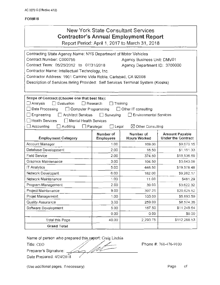| <b>New York State Consultant Services</b><br><b>Contractor's Annual Employment Report</b><br>Report Period: April 1, 2017 to March 31, 2018                                                                                                                                                                                                  |                                                        |                                                                                                  |                                                    |  |
|----------------------------------------------------------------------------------------------------------------------------------------------------------------------------------------------------------------------------------------------------------------------------------------------------------------------------------------------|--------------------------------------------------------|--------------------------------------------------------------------------------------------------|----------------------------------------------------|--|
| Contracting State Agency Name: NYS Department of Motor Vehicles<br>Contract Number: C000755<br>Contract Term: 05/25/2012 to 07/31/2018<br>Contractor Name: Intellectual Technology, Inc.<br>Contractor Address: 1901 Camino Vida Roble, Carlsbad, CA 92008<br>Description of Services Being Provided: Self Services Terminal System (Kiosks) |                                                        | Agency Business Unit: DMV01<br>Agency Department ID: 3700000                                     |                                                    |  |
| Scope of Contract (Choose one that best fits):<br>Analysis<br>$\Box$ Evaluation<br>$\Box$ Research<br>$\Box$ Computer Programming<br>Data Processing<br>Engineering<br><b>Architect Services</b><br><b>Health Services</b><br><b>Mental Health Services</b><br>$\Box$ Accounting<br>Auditing                                                 | Surveying<br>$\Box$<br>Legal<br>$\Box$ Paralegal<br>ŁΙ | Training<br>Other IT consulting<br><b>Environmental Services</b><br>$\boxtimes$ Other Consulting |                                                    |  |
| <b>Employment Category</b>                                                                                                                                                                                                                                                                                                                   | Number of<br><b>Employees</b>                          | Number of<br><b>Hours Worked</b>                                                                 | <b>Amount Payable</b><br><b>Under the Contract</b> |  |
| Account Manager                                                                                                                                                                                                                                                                                                                              | 1.00                                                   | 169.00                                                                                           | \$9,670.15                                         |  |
| Database Development                                                                                                                                                                                                                                                                                                                         | 2.00                                                   | 18.50                                                                                            | \$1,151.33                                         |  |
| <b>Field Service</b>                                                                                                                                                                                                                                                                                                                         | 2.00                                                   | 374.50                                                                                           | \$18,536.59                                        |  |
| Graphics Maintenance                                                                                                                                                                                                                                                                                                                         | 3.00                                                   | 104.50                                                                                           | \$3,643.09                                         |  |
| <b>IT Analytics</b>                                                                                                                                                                                                                                                                                                                          | 5.00                                                   | 448.50                                                                                           | \$19,578.48                                        |  |
| Network Developent                                                                                                                                                                                                                                                                                                                           | 6.00                                                   | 182.00                                                                                           | \$9,262.17                                         |  |
| Network Maintenance                                                                                                                                                                                                                                                                                                                          | 1.00                                                   | 11.00                                                                                            | \$481.29                                           |  |
| Program Management                                                                                                                                                                                                                                                                                                                           | 2.00                                                   | 39.00                                                                                            | \$3,622.32                                         |  |
| Project Maintenance                                                                                                                                                                                                                                                                                                                          | 9.00                                                   | 397.25                                                                                           | \$20,625.52                                        |  |
| Projet Management                                                                                                                                                                                                                                                                                                                            | 1.00                                                   | 103.00                                                                                           | \$5,893.59                                         |  |
| <b>Quality Assurance</b>                                                                                                                                                                                                                                                                                                                     | 3.00                                                   | 259.00                                                                                           | \$8,574.36                                         |  |
| Software Development                                                                                                                                                                                                                                                                                                                         | 5.00                                                   | 187.50                                                                                           | \$11,249.64                                        |  |
|                                                                                                                                                                                                                                                                                                                                              | 0.00                                                   | 0.00                                                                                             | \$0.00                                             |  |
| Total this Page                                                                                                                                                                                                                                                                                                                              | 40.00                                                  | 2,293.75                                                                                         | \$112,288.53                                       |  |
| <b>Grand Total</b>                                                                                                                                                                                                                                                                                                                           |                                                        |                                                                                                  |                                                    |  |
| Name of person who prepared this report: Craig Litchin<br>Title: CEO<br>Preparer's Signature:                                                                                                                                                                                                                                                |                                                        |                                                                                                  | Phone #: 760-476-9100                              |  |

 $\overline{\mathscr{O}}$ 

Preparer 's Signature:

Date Prepared: 4/24/2018

(Use additional pages, if necessary)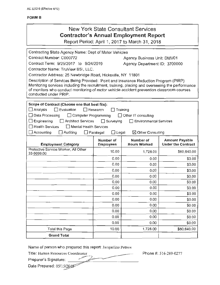| New York State Consultant Services<br><b>Contractor's Annual Employment Report</b><br>Report Period: April 1, 2017 to March 31, 2018                                                                                                                                                                                                                                                                                                                                                                                                             |                                                                |                                                                                                         |                           |
|--------------------------------------------------------------------------------------------------------------------------------------------------------------------------------------------------------------------------------------------------------------------------------------------------------------------------------------------------------------------------------------------------------------------------------------------------------------------------------------------------------------------------------------------------|----------------------------------------------------------------|---------------------------------------------------------------------------------------------------------|---------------------------|
| Contracting State Agency Name: Dept of Motor Vehicles<br>Contract Number: C000772<br>Contract Term: 9/25/2017 to 9/24/2019<br>Contractor Name: TruView BSI, LLC.<br>Contractor Address: 25 Newbridge Road, Hicksville, NY 11801<br>Description of Services Being Provided: Point and Insurance Reduction Program (PIRP)<br>Monitoring services including the recruitment, training, placing and overseeing the performance<br>of monitors who conduct monitoring of motor vehicle accident prevention classroom courses<br>conducted under PRIP. |                                                                | Agency Business Unit: DMV01<br>Agency Department ID: 3700000                                            |                           |
| Scope of Contract (Choose one that best fits):<br>$\Box$ Evaluation<br>Analysis<br>□ Computer Programming<br>Data Processing<br>Engineering<br>Architect Services<br><b>Health Services</b><br>Mental Health Services<br>Accounting<br>Auditing                                                                                                                                                                                                                                                                                                  | <b>□ Research</b><br>$\Box$ Surveying<br>Paralegal<br>_] Legal | Training<br>$\Box$ Other IT consulting<br><b>Environmental Services</b><br>$\boxtimes$ Other Consulting |                           |
|                                                                                                                                                                                                                                                                                                                                                                                                                                                                                                                                                  | Number of                                                      | Number of                                                                                               | <b>Amount Payable</b>     |
| <b>Employment Category</b><br>Protective Service Worker, All Other                                                                                                                                                                                                                                                                                                                                                                                                                                                                               | <b>Employees</b>                                               | <b>Hours Worked</b>                                                                                     | <b>Under the Contract</b> |
| 33-9099.00                                                                                                                                                                                                                                                                                                                                                                                                                                                                                                                                       | 10.00                                                          | 1,728.00                                                                                                | \$80,640.00               |
|                                                                                                                                                                                                                                                                                                                                                                                                                                                                                                                                                  | 0.00                                                           | 0.00                                                                                                    | \$0.00                    |
|                                                                                                                                                                                                                                                                                                                                                                                                                                                                                                                                                  | 0.00                                                           | 0.00                                                                                                    | \$0.00                    |
|                                                                                                                                                                                                                                                                                                                                                                                                                                                                                                                                                  | 0.00                                                           | 0.00                                                                                                    | \$0.00                    |
|                                                                                                                                                                                                                                                                                                                                                                                                                                                                                                                                                  | 0.00                                                           | 0.00                                                                                                    | \$0.00                    |
|                                                                                                                                                                                                                                                                                                                                                                                                                                                                                                                                                  | 0.00                                                           | 0.00                                                                                                    | \$0.00                    |
|                                                                                                                                                                                                                                                                                                                                                                                                                                                                                                                                                  | 0.00                                                           | 0.00                                                                                                    | \$0.00                    |
|                                                                                                                                                                                                                                                                                                                                                                                                                                                                                                                                                  | 0.00                                                           | 0.00                                                                                                    | \$0.00                    |
|                                                                                                                                                                                                                                                                                                                                                                                                                                                                                                                                                  | 0.00                                                           | 0.00                                                                                                    | \$0.00                    |
|                                                                                                                                                                                                                                                                                                                                                                                                                                                                                                                                                  | 0.00                                                           | 0.00                                                                                                    | \$0.00                    |
|                                                                                                                                                                                                                                                                                                                                                                                                                                                                                                                                                  | 0.00                                                           | 0.00                                                                                                    | \$0.00                    |
|                                                                                                                                                                                                                                                                                                                                                                                                                                                                                                                                                  | 0.00                                                           | 0.00                                                                                                    | \$0.00                    |
|                                                                                                                                                                                                                                                                                                                                                                                                                                                                                                                                                  | 0.00                                                           | 0.00                                                                                                    | \$0.00                    |
| <b>Total this Page</b>                                                                                                                                                                                                                                                                                                                                                                                                                                                                                                                           | 10.00                                                          | 1,728.00                                                                                                | \$80,640.00               |
| <b>Grand Total</b>                                                                                                                                                                                                                                                                                                                                                                                                                                                                                                                               |                                                                |                                                                                                         |                           |
| Name of person who prepared this report: Jacqueline Petrow<br>Title: Human Resources Coordinator<br>Prenarer's Signature:                                                                                                                                                                                                                                                                                                                                                                                                                        |                                                                |                                                                                                         | Phone #: 516-289-0277     |

=-----------

 $\rho$ 

Preparer's Signature:

Preparer's Signature: 2004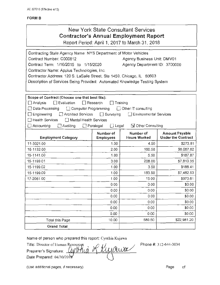# New York State Consultant Services **Contractor's Annual Employment Report**

Report Period: April 1, 2017 to March 31, 2018

| Contracting State Agency Name: NYS Department of Motor Vehicles            |                                  |                                  |                                                    |  |
|----------------------------------------------------------------------------|----------------------------------|----------------------------------|----------------------------------------------------|--|
| Contract Number: C000812<br>Agency Business Unit: DMV01                    |                                  |                                  |                                                    |  |
| Contract Term: 1/16/2015 to 1/15/2020                                      |                                  | Agency Department ID: 3700000    |                                                    |  |
| Contractor Name: Applus Technologies, Inc.                                 |                                  |                                  |                                                    |  |
| Contractor Address: 120 S. LaSalle Street, Ste 1450, Chicago, IL 60603     |                                  |                                  |                                                    |  |
| Description of Services Being Provided: Automated Knowledge Testing System |                                  |                                  |                                                    |  |
|                                                                            |                                  |                                  |                                                    |  |
|                                                                            |                                  |                                  |                                                    |  |
| Scope of Contract (Choose one that best fits):                             |                                  |                                  |                                                    |  |
| $\Box$ Evaluation<br>$\Box$ Analysis                                       | $\Box$ Research                  | Training                         |                                                    |  |
| $\Box$ Data Processing<br>Computer Programming                             |                                  | Other IT consulting              |                                                    |  |
| $\Box$ Engineering<br>Architect Services                                   | $\Box$ Surveying                 | Environmental Services           |                                                    |  |
| Health Services<br>Mental Health Services                                  |                                  |                                  |                                                    |  |
| $\Box$ Accounting<br>Auditing                                              | $\Box$ Paralegal<br>$\Box$ Lega! | <b>S</b> Other Consulting        |                                                    |  |
| <b>Employment Category</b>                                                 | Number of<br><b>Employees</b>    | Number of<br><b>Hours Worked</b> | <b>Amount Payable</b><br><b>Under the Contract</b> |  |
| 11-3021.00                                                                 | 1.00                             | 4.50                             | \$273.81                                           |  |
| 15-1132.00                                                                 | 2.00                             | 160.50                           | \$6,067.62                                         |  |
| 15-1141.00                                                                 | 1.00                             | 5.50                             | \$187.87                                           |  |
| 15-1199.01                                                                 | 3.00                             | 208.00                           | \$7,810.35                                         |  |
| 15-1199.02                                                                 | 1.00                             | 3.50                             | \$188.41                                           |  |
| 15-1199.09                                                                 | 1.00                             | 183.50                           | \$7,482.53                                         |  |
| 17-2061.00                                                                 | 1.00                             | 15.00                            | \$970.61                                           |  |
|                                                                            | 0.00                             | 0.00                             | \$0.00                                             |  |
|                                                                            | 0.00                             | 0.00                             | \$0.00                                             |  |
|                                                                            | 0.00                             | 0.00                             | \$0.00                                             |  |
|                                                                            | 0.00                             | 0.00                             | \$0.00                                             |  |
|                                                                            | 0.00                             | 0.00                             | \$0.00                                             |  |
|                                                                            | 0.00                             | 0.00                             | \$0.00                                             |  |
| <b>Total this Page</b>                                                     | 10.00                            | 580.50                           | \$22,981.20                                        |  |
| <b>Grand Total</b>                                                         |                                  |                                  |                                                    |  |

Name of person who prepared this report: Cynthia Kujawa

Title: Director of Human Resources<br>Preparer's Signature: *(WY) ALA* KUI *AW* Preparer's Signature: Date Prepared: 04/30/2018

Phone#: 312-644-3034

(Use additional pages, if necessary)

Page of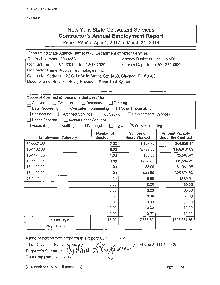# New York State Consultant Services **Contractor's Annual Employment Report**

Report Period: April 1, 2017 to March 31, 2018

| Contracting State Agency Name: NYS Department of Motor Vehicles<br>Contract Number: C000833<br>Contract Term: 12/14/2015 to 12/13/2020<br>Contractor Name: Applus Technologies, Inc.<br>Contractor Address: 120 S. LaSalle Street, Ste 1450, Chicago, IL 60603<br>Description of Services Being Provided: Road Test System<br>Scope of Contract (Choose one that best fits): |                                    | Agency Business Unit: DMV01<br>Agency Department ID: 3700000 |                                                    |
|------------------------------------------------------------------------------------------------------------------------------------------------------------------------------------------------------------------------------------------------------------------------------------------------------------------------------------------------------------------------------|------------------------------------|--------------------------------------------------------------|----------------------------------------------------|
| ∐ Analysis<br>$\Box$ Evaluation                                                                                                                                                                                                                                                                                                                                              | $\Box$ Research<br>$\Box$ Training |                                                              |                                                    |
| Data Processing<br>□ Computer Programming                                                                                                                                                                                                                                                                                                                                    |                                    | $\Box$ Other IT consulting                                   |                                                    |
| Engineering<br>Architect Services                                                                                                                                                                                                                                                                                                                                            | Surveying                          | <b>Environmental Services</b>                                |                                                    |
| <b>Health Services</b><br><b>Mental Health Services</b>                                                                                                                                                                                                                                                                                                                      |                                    |                                                              |                                                    |
| Accounting<br>Auditing                                                                                                                                                                                                                                                                                                                                                       | Paralegal<br>Legal                 | <b>B</b> Other Consulting                                    |                                                    |
| <b>Employment Category</b>                                                                                                                                                                                                                                                                                                                                                   | Number of<br><b>Employees</b>      | Number of<br><b>Hours Worked</b>                             | <b>Amount Payable</b><br><b>Under the Contract</b> |
| 11-3021.00                                                                                                                                                                                                                                                                                                                                                                   | 2.00                               | 1,107.75                                                     | \$54,686.14                                        |
| 15-1132.00                                                                                                                                                                                                                                                                                                                                                                   | 9.00                               | 3,733.50                                                     | \$158,910.98                                       |
| 15-1141.00                                                                                                                                                                                                                                                                                                                                                                   | 1.00                               | 166.50                                                       | \$5,687.41                                         |
| 15-1199.01                                                                                                                                                                                                                                                                                                                                                                   | 3.00                               | 1,880.50                                                     | \$81,504.25                                        |
| 15-1199.02                                                                                                                                                                                                                                                                                                                                                                   | 1.00                               | 22.00                                                        | \$1,061.08                                         |
| 15-1199.09                                                                                                                                                                                                                                                                                                                                                                   | 1.00                               | 634.55                                                       | \$25,874.89                                        |
| 17-2061.00                                                                                                                                                                                                                                                                                                                                                                   | 1.00                               | 8.50                                                         | \$550.01                                           |
|                                                                                                                                                                                                                                                                                                                                                                              | 0.00                               | 0.00                                                         | \$0.00                                             |
|                                                                                                                                                                                                                                                                                                                                                                              | 0.00                               | 0.00                                                         | \$0.00                                             |
|                                                                                                                                                                                                                                                                                                                                                                              | 0.00                               | 0.00                                                         | \$0.00                                             |
|                                                                                                                                                                                                                                                                                                                                                                              | 0.00                               | 0.00                                                         | \$0.00                                             |
|                                                                                                                                                                                                                                                                                                                                                                              | 0.00                               | 0.00                                                         | \$0.00                                             |
|                                                                                                                                                                                                                                                                                                                                                                              | 0.00                               | 0.00                                                         | \$0.00                                             |
| <b>Total this Page</b>                                                                                                                                                                                                                                                                                                                                                       | 18.00                              | 7,553.30                                                     | \$328,274.76                                       |
| <b>Grand Total</b>                                                                                                                                                                                                                                                                                                                                                           |                                    |                                                              |                                                    |
| Name of person who prepared this report: Cynthia Kujawa<br>Phone #: 312-644-3034<br>Title: Director of Human Resources<br>$10^{\circ}$<br>Preparer's Signature:                                                                                                                                                                                                              |                                    |                                                              |                                                    |

Title: Director of Human Resource  $\eta \geq 1$ Preparer's Signature:  $\sim$   $\mu$ - $\mu$   $\mu$   $\mu$   $\mu$   $\mu$ Date Prepared: 04/30/2018

(Use additional pages, if necessary) example of the example of the example of the example of the example of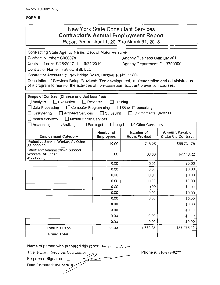| <b>New York State Consultant Services</b>                                                       |
|-------------------------------------------------------------------------------------------------|
| <b>Contractor's Annual Employment Report</b>                                                    |
| $D_{\text{exact}}$ $D_{\text{total}}$ , Anall 4, $D_{\text{total}}$ to Model $D_{\text{total}}$ |

Report Period: April 1, 2017 to March 31, 2018

| Contracting State Agency Name: Dept of Motor Vehicles                                      |                           |                              |                           |  |
|--------------------------------------------------------------------------------------------|---------------------------|------------------------------|---------------------------|--|
| Contract Number: C000878<br>Agency Business Unit: DMV01                                    |                           |                              |                           |  |
| Contract Term: 9/25/2017 to 9/24/2019<br>Agency Department ID: 3700000                     |                           |                              |                           |  |
| Contractor Name: TruView BSI, LLC.                                                         |                           |                              |                           |  |
| Contractor Address: 25 Newbridge Road, Hicksville, NY 11801                                |                           |                              |                           |  |
| Description of Services Being Provided: The development, implementation and administration |                           |                              |                           |  |
| of a program to monitor the activities of non-classroom accident prevention courses.       |                           |                              |                           |  |
|                                                                                            |                           |                              |                           |  |
| Scope of Contract (Choose one that best fits):                                             |                           |                              |                           |  |
| $\Box$ Analysis<br>$\Box$ Evaluation                                                       | $\Box$ Research           | Training                     |                           |  |
| □ Data Processing<br>□ Computer Programming                                                |                           | □ Other IT consulting        |                           |  |
| $\Box$ Engineering<br>Architect Services                                                   | $\Box$ Surveying          | Environmental Services       |                           |  |
| Health Services<br>$\Box$ Mental Health Services                                           |                           |                              |                           |  |
| $\Box$ Accounting<br>Auditing                                                              | $\Box$ Legal<br>Paralegal | $\boxtimes$ Other Consulting |                           |  |
|                                                                                            | Number of                 | Number of                    | <b>Amount Payable</b>     |  |
| <b>Employment Category</b>                                                                 | <b>Employees</b>          | <b>Hours Worked</b>          | <b>Under the Contract</b> |  |
| Protective Service Worker, All Other<br>33-9099.00                                         | 10.00                     | 1,716.25                     | \$55,731.78               |  |
| Office and Administrative Support<br>Workers, All Other                                    |                           |                              |                           |  |
| 43-9199.00                                                                                 | 1.00                      | 66.00                        | \$2,143.22                |  |
|                                                                                            | 0.00                      | 0.00                         | \$0.00                    |  |
|                                                                                            | 0.00                      | 0.00                         | \$0.00                    |  |
|                                                                                            | 0.00                      | 0.00                         | \$0.00                    |  |
|                                                                                            | 0.00                      | 0.00                         | \$0.00                    |  |
|                                                                                            | 0.00                      | 0.00                         | \$0.00                    |  |
|                                                                                            | 0.00                      | 0.00                         | \$0.00                    |  |
|                                                                                            | 0.00                      | 0.00                         | \$0.00                    |  |
|                                                                                            | 0.00                      | 0.00                         | \$0.00                    |  |
|                                                                                            | 0.00                      | 0.00                         | \$0.00                    |  |
|                                                                                            | 0.00                      | 0.00                         | \$0.00                    |  |
|                                                                                            | 0.00                      | 0.00                         | \$0.00                    |  |
| <b>Total this Page</b>                                                                     | 11.00                     | 1,782.25                     | \$57,875.00               |  |
| <b>Grand Total</b>                                                                         |                           |                              |                           |  |

Name of person who prepared this report: Jacqueline Petrow

Name of person who prepared this report: Jacqueline Petrow<br>Title: Human Resources Coordinator Phone #: 516-289-0277 Preparer's Signature: \_\_\_\_\_\_\_\_\_\_ Date Prepared: 05/lSP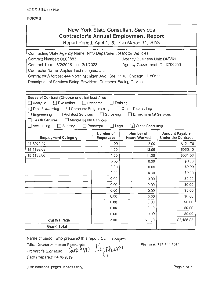## New York State Consultant Services **Contractor's Annual Employment Report**  Report Period: April 1, 2017 to March 31, 2018

Contracting State Agency Name: NYS Department of Motor Vehicles Contract Number: C000883 Agency Business Unit: DMV01 Contract Term: 3/2/2018 to 3/1/2023 Agency Department ID: 3700000 Contractor Name: Applus Technologies, Inc. Contractor Address: 444 North Michigan Ave., Ste. 1110, Chicago, IL 60611 Description of Services Being Provided: Customer Facing Device Scope of Contract (Choose one that best fits): 0Analysis 0 Evaluation 0 Research D Training  $\Box$  Data Processing  $\Box$  Computer Programming  $\Box$  Other IT consulting D Engineering D Architect Services D Surveying D Environmental Services D Health Services D Mental Health Services D Accounting D Auditing D Paralegal D Legal ffJ Other Consulting Number of Number of Amount Payable<br>Employees Hours Worked Under the Contract **Employment Category** 11-3021.00 1.00 2.00 \$121 .70 15-1199.09 1.00 13.00 \$530.10 15-1133.00 1.00 | 11.00 | \$534.03 0.00 \$0.00 0.00 **\$0.00** \$0.00 0.00 **0.00 \$0.00** 0.00 **\$0.00** \$0.00  $0.00$   $\uparrow$   $0.00$   $\uparrow$  \$0.00 0.00 0.00 \$0.00 0.00 **0.00** \$0.00 0.00 **\$0.00** \$0.00 0.00 0.00 \$0.00 0.00 **\$0.00** \$0.00 Total this Page  $\begin{array}{|c|c|c|c|c|c|c|c|c|} \hline \text{Total this Page} & & 3.00 & 26.00 & \text{\textsterling} & \text{\textsterling} & \text{\textsterling} & \text{\textsterling} & \text{\textsterling} & \text{\textsterling} & \text{\textsterling} & \text{\textsterling} & \text{\textsterling} & \text{\textsterling} & \text{\textsterling} & \text{\textsterling} & \text{\textsterling} & \text{\textsterling} & \text{\textsterling} & \text{\textsterling} & \text{\textsterling} & \text{\textsterling} & \text{\textsterling} & \text$ Grand Total Grand Total<br>
Name of person who prepared this report: Cynthia Kujawa<br>
Title: Director of Human Ressources<br>
Preparer's Signature: *(IN)* HULD MULOO

Name of person who prepared this report: Cynthia Kujawa

The: Director of Human Ressources<br>Preparer's Signature: *CNHKICO KUALUOO* Date Prepared: 04/30/201

(Use additional pages, if necessary) **Page 1** of 1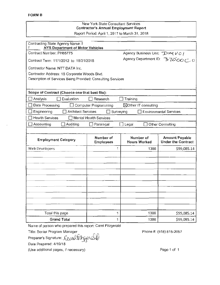#### New York State Consultant Services Contractor's Annual Employment Report Report Period: April 1, 2017 to March 31, 2018

| Contracting State Agency Name: I<br>NYS Department of Motor Vehicles |                               |              |                                  |                                                    |
|----------------------------------------------------------------------|-------------------------------|--------------|----------------------------------|----------------------------------------------------|
| Contract Number: PH65775                                             |                               |              | Agency Business Unit: DWVOI      |                                                    |
| Contract Term: 11/1/2012 to 10/31/2018                               |                               |              |                                  | Agency Department ID: 37000000                     |
| Contractor Name: NTT DATA Inc.                                       |                               |              |                                  |                                                    |
| Contractor Address: 18 Corporate Woods Blvd.                         |                               |              |                                  |                                                    |
| Description of Services Being Provided: Consulting Services          |                               |              |                                  |                                                    |
|                                                                      |                               |              |                                  |                                                    |
| Scope of Contract (Choose one that best fits):                       |                               |              |                                  |                                                    |
| Analysis<br>Evaluation                                               | Research                      |              | Training                         |                                                    |
| Data Processing                                                      | <b>Computer Programming</b>   |              | ⊠Other IT consulting             |                                                    |
| Engineering<br>Architect Services                                    |                               | Surveying    |                                  | <b>Environmental Services</b>                      |
| <b>Health Services</b>                                               | <b>Mental Health Services</b> |              |                                  |                                                    |
| Accounting<br>Auditing                                               | Paralegal                     | $\Box$ Legal |                                  | Other Consulting                                   |
|                                                                      |                               |              |                                  |                                                    |
| <b>Employment Category</b>                                           | Number of<br><b>Employees</b> |              | Number of<br><b>Hours Worked</b> | <b>Amount Payable</b><br><b>Under the Contract</b> |
| Web Developers                                                       |                               | 1            | 1386                             | \$99,085.14                                        |
|                                                                      |                               |              |                                  |                                                    |
|                                                                      |                               |              |                                  |                                                    |
|                                                                      |                               |              |                                  |                                                    |
|                                                                      |                               |              |                                  |                                                    |
|                                                                      |                               |              |                                  |                                                    |
|                                                                      |                               |              |                                  |                                                    |
|                                                                      |                               |              |                                  |                                                    |
|                                                                      |                               |              |                                  |                                                    |
|                                                                      |                               |              |                                  |                                                    |
| Total this page                                                      |                               | 1            | 1386                             | \$99,085.14                                        |
| <b>Grand Total</b>                                                   |                               | 1            | 1386                             | \$99,085.14                                        |

Name of person who prepared this report: Carol Fitzgerald prepared this report: Carol Fitzgera<br>| Manager<br>: Constanting product

Title: Senior Program Manager

Preparer's Signature

Date Prepared: 4/19/18

(Use additional pages, if necessary)

Phone#: (518) 815-2057

Page 1 of 1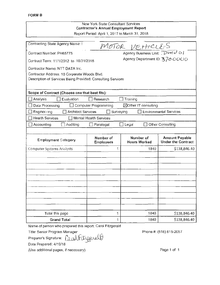#### New York State Consultant Services Contractor's Annual Employment Report Report Period: April 1, 2017 to March 31, 2018

| Contracting State Agency Name:                              |                               | $MOTOR$ VEHICLES                 |                                                    |
|-------------------------------------------------------------|-------------------------------|----------------------------------|----------------------------------------------------|
| Contract Number: PH65775                                    |                               |                                  |                                                    |
| Contract Term: 11/1/2012 to 10/31/2018                      |                               | Agency Department ID: 3700000    |                                                    |
| Contractor Name: NTT DATA Inc.                              |                               |                                  |                                                    |
| Contractor Address: 18 Corporate Woods Blvd.                |                               |                                  |                                                    |
| Description of Services Being Provided: Consulting Services |                               |                                  |                                                    |
|                                                             |                               |                                  |                                                    |
| Scope of Contract (Choose one that best fits):              |                               |                                  |                                                    |
| Evaluation<br>Analysis                                      | Research                      | Training                         |                                                    |
| Data Processing                                             | <b>Computer Programming</b>   | ⊠Other IT consulting             |                                                    |
| Engineering<br><b>Architect Services</b>                    | Surveying                     |                                  | <b>Environmental Services</b>                      |
| <b>Health Services</b>                                      | [1] Mental Health Services    |                                  |                                                    |
| Accounting<br>Auditing                                      | Paralegal                     | $\Box$ Legal                     | Other Consulting                                   |
|                                                             |                               |                                  |                                                    |
| <b>Employment Category</b>                                  | Number of<br><b>Employees</b> | Number of<br><b>Hours Worked</b> | <b>Amount Payable</b><br><b>Under the Contract</b> |
| <b>Computer Systems Analysts</b>                            | 1                             | 1840                             | \$138,846.40                                       |
|                                                             |                               |                                  |                                                    |
|                                                             |                               |                                  |                                                    |
|                                                             |                               |                                  |                                                    |
|                                                             |                               |                                  |                                                    |
|                                                             |                               |                                  |                                                    |
|                                                             |                               |                                  |                                                    |
|                                                             |                               |                                  |                                                    |
|                                                             |                               |                                  |                                                    |
|                                                             |                               |                                  |                                                    |
|                                                             |                               |                                  |                                                    |
| Total this page                                             | 1                             | 1840                             | \$138,846.40                                       |
| <b>Grand Total</b>                                          | 1                             | 1840                             | \$138,846.40                                       |

Name of person who prepared this report: Carol Fitzgerald

Title: Senior Program Manager

Preparer's Signature: repared this report: Carol Fitzgerald<br>Manager<br>Causl Litzgerald

Date Prepared: 4/19/18

(Use additional pages, if necessary)

Phone#: (518} 815-2057

Page 1 of 1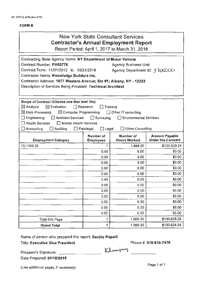| <b>New York State Consultant Services</b><br><b>Contractor's Annual Employment Report</b><br>Report Period: April 1, 2017 to March 31, 2018                                                                                                                                                                                                                                                                                                                                      |                  |                      |                                                    |  |
|----------------------------------------------------------------------------------------------------------------------------------------------------------------------------------------------------------------------------------------------------------------------------------------------------------------------------------------------------------------------------------------------------------------------------------------------------------------------------------|------------------|----------------------|----------------------------------------------------|--|
| Contracting State Agency Name: NY Department of Motor Vehicle<br>Contract Number: PH65776<br><b>Agency Business Unit:</b><br>Contract Term: 11/01/2012 to 10/31/2018<br>Agency Department ID: 3 TOOCCO<br>Contractor Name: Knowledge Builders Inc.<br>Contractor Address: 1977 Western Avenue; Ste #1; Albany, NY - 12203<br>Description of Services Being Provided: Technical Architect                                                                                         |                  |                      |                                                    |  |
| Scope of Contract (Choose one that best fits):<br>$\boxtimes$ Evaluation<br>Research<br>Training<br>$\boxtimes$ Analysis<br>$\boxtimes$ Data Processing<br>$\boxtimes$ Computer Programming<br>$\Box$ Other IT consulting<br>$\Box$ Surveying<br><b>Environmental Services</b><br>$\Box$ Engineering<br>□ Architect Services<br>$\Box$ Health Services<br>Mental Health Services<br>$\Box$ Legal<br>Other Consulting<br>$\Box$ Auditing<br>$\Box$ Paralegal<br>$\Box$ Accounting |                  |                      |                                                    |  |
|                                                                                                                                                                                                                                                                                                                                                                                                                                                                                  | Number of        | Number of            |                                                    |  |
| <b>Employment Category</b>                                                                                                                                                                                                                                                                                                                                                                                                                                                       | <b>Employees</b> | <b>Hours Worked</b>  | <b>Amount Payable</b><br><b>Under the Contract</b> |  |
| 15-1199.02                                                                                                                                                                                                                                                                                                                                                                                                                                                                       | 1                | 1,868.00             | \$130,629.24                                       |  |
|                                                                                                                                                                                                                                                                                                                                                                                                                                                                                  | 0.00             | 0.00                 | \$0.00                                             |  |
|                                                                                                                                                                                                                                                                                                                                                                                                                                                                                  | 0.00             | 0.00                 | \$0.00                                             |  |
|                                                                                                                                                                                                                                                                                                                                                                                                                                                                                  | 0.00             | 0.00                 | \$0.00                                             |  |
|                                                                                                                                                                                                                                                                                                                                                                                                                                                                                  | 0.00             | 0.00                 | \$0.00                                             |  |
|                                                                                                                                                                                                                                                                                                                                                                                                                                                                                  | 0.00             | 0.00                 | \$0.00                                             |  |
|                                                                                                                                                                                                                                                                                                                                                                                                                                                                                  | 0.00             | 0.00                 | \$0.00                                             |  |
|                                                                                                                                                                                                                                                                                                                                                                                                                                                                                  | 0.00             | 0.00                 | \$0.00                                             |  |
|                                                                                                                                                                                                                                                                                                                                                                                                                                                                                  | 0.00             | 0.00                 | \$0.00                                             |  |
|                                                                                                                                                                                                                                                                                                                                                                                                                                                                                  | 0.00             | 0.00                 | \$0.00                                             |  |
|                                                                                                                                                                                                                                                                                                                                                                                                                                                                                  | 0.00             | 0.00                 | \$0.00                                             |  |
|                                                                                                                                                                                                                                                                                                                                                                                                                                                                                  | 0.00             | 0.00                 | \$0.00                                             |  |
|                                                                                                                                                                                                                                                                                                                                                                                                                                                                                  | 0.00             | 0.00                 | \$0.00                                             |  |
| <b>Total this Page</b><br><b>Grand Total</b>                                                                                                                                                                                                                                                                                                                                                                                                                                     | 1<br>1           | 1,868.00<br>1,868.00 | \$130,629.24<br>\$130,629.24                       |  |

Name of person who prepared this report: Sanjay Kapalli

Title: Executive Vice President

Phone#: 518-810-7478

Klemjary

Preparer's Signature: \_\_\_\_\_\_\_\_\_ \_\_\_\_\_\_\_\_\_\_\_\_

Date Prepared: 04/18/2018

(Use additional pages, if necessary)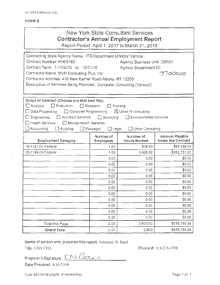| New York State Consultant Services<br><b>Contractor's Annual Employment Report</b><br>Report Period: April 1, 2017 to March 31, 2018<br>Contracting State Agency Name: ITS/Department of Motor Vehicle<br>Contract Number: PH65780<br>Agency Business Unit: DMV01<br>Contract Term: 11/1/2012 to 10/31/18<br>Agency Department ID:<br>Contractor Name: MVP Consulting Plus, Inc.<br>Contractor Address: 435 New Karner Road Albany, NY 12205<br>Description of Services Being Provided: Computer Consulting (Various)<br>Scope of Contract (Choose one that best fits):<br>$\Box$ Analysis<br>$\Box$ Evaluation<br>$\Box$ Research<br>Training<br>□ Data Processing<br>$\boxtimes$ Other IT consulting<br>□ Computer Programming<br>$\square$ Engineering<br>Architect Services<br>$\Box$ Surveying<br>Environmental Services<br>$\Box$ Health Services<br>$\Box$ Mental Health Services<br>$\Box$ Accounting<br>Other Consulting<br>Auditing<br>$\Box$ Paralegal<br>$\Box$ Legal<br>Number of<br>Number of<br>Hours Worked<br><b>Employment Category</b><br><b>Employees</b><br>15-1131.00 Federal<br>1.00<br>808.00<br>15-1199.09 Federal<br>1.00<br>1,995.00<br>0.00<br>0.00<br>0.00<br>0.00 |      |      |                                             |
|-------------------------------------------------------------------------------------------------------------------------------------------------------------------------------------------------------------------------------------------------------------------------------------------------------------------------------------------------------------------------------------------------------------------------------------------------------------------------------------------------------------------------------------------------------------------------------------------------------------------------------------------------------------------------------------------------------------------------------------------------------------------------------------------------------------------------------------------------------------------------------------------------------------------------------------------------------------------------------------------------------------------------------------------------------------------------------------------------------------------------------------------------------------------------------------------------|------|------|---------------------------------------------|
|                                                                                                                                                                                                                                                                                                                                                                                                                                                                                                                                                                                                                                                                                                                                                                                                                                                                                                                                                                                                                                                                                                                                                                                                 |      |      |                                             |
|                                                                                                                                                                                                                                                                                                                                                                                                                                                                                                                                                                                                                                                                                                                                                                                                                                                                                                                                                                                                                                                                                                                                                                                                 |      |      | 3700000                                     |
|                                                                                                                                                                                                                                                                                                                                                                                                                                                                                                                                                                                                                                                                                                                                                                                                                                                                                                                                                                                                                                                                                                                                                                                                 |      |      |                                             |
|                                                                                                                                                                                                                                                                                                                                                                                                                                                                                                                                                                                                                                                                                                                                                                                                                                                                                                                                                                                                                                                                                                                                                                                                 |      |      | Amount Payable<br><b>Under the Contract</b> |
|                                                                                                                                                                                                                                                                                                                                                                                                                                                                                                                                                                                                                                                                                                                                                                                                                                                                                                                                                                                                                                                                                                                                                                                                 |      |      | \$54,039.04                                 |
|                                                                                                                                                                                                                                                                                                                                                                                                                                                                                                                                                                                                                                                                                                                                                                                                                                                                                                                                                                                                                                                                                                                                                                                                 |      |      | \$162,751.20                                |
|                                                                                                                                                                                                                                                                                                                                                                                                                                                                                                                                                                                                                                                                                                                                                                                                                                                                                                                                                                                                                                                                                                                                                                                                 |      |      | \$0.00                                      |
|                                                                                                                                                                                                                                                                                                                                                                                                                                                                                                                                                                                                                                                                                                                                                                                                                                                                                                                                                                                                                                                                                                                                                                                                 |      |      | \$0.00                                      |
|                                                                                                                                                                                                                                                                                                                                                                                                                                                                                                                                                                                                                                                                                                                                                                                                                                                                                                                                                                                                                                                                                                                                                                                                 | 0.00 | 0.00 | \$0.00                                      |
| 0.00<br>0.00                                                                                                                                                                                                                                                                                                                                                                                                                                                                                                                                                                                                                                                                                                                                                                                                                                                                                                                                                                                                                                                                                                                                                                                    |      |      | \$0.00                                      |
| 0.00<br>0.00                                                                                                                                                                                                                                                                                                                                                                                                                                                                                                                                                                                                                                                                                                                                                                                                                                                                                                                                                                                                                                                                                                                                                                                    |      |      | \$0.00                                      |
| 0.00<br>0.00                                                                                                                                                                                                                                                                                                                                                                                                                                                                                                                                                                                                                                                                                                                                                                                                                                                                                                                                                                                                                                                                                                                                                                                    |      |      | \$0.00                                      |
| 0.00<br>0.00                                                                                                                                                                                                                                                                                                                                                                                                                                                                                                                                                                                                                                                                                                                                                                                                                                                                                                                                                                                                                                                                                                                                                                                    |      |      | \$0.00                                      |
| 0.00<br>0.00                                                                                                                                                                                                                                                                                                                                                                                                                                                                                                                                                                                                                                                                                                                                                                                                                                                                                                                                                                                                                                                                                                                                                                                    |      |      | \$0.00                                      |
| 0.00<br>0.00                                                                                                                                                                                                                                                                                                                                                                                                                                                                                                                                                                                                                                                                                                                                                                                                                                                                                                                                                                                                                                                                                                                                                                                    |      |      | \$0.00                                      |
| 0.00<br>0.00                                                                                                                                                                                                                                                                                                                                                                                                                                                                                                                                                                                                                                                                                                                                                                                                                                                                                                                                                                                                                                                                                                                                                                                    |      |      | \$0.00                                      |
| 0.00<br>0.00                                                                                                                                                                                                                                                                                                                                                                                                                                                                                                                                                                                                                                                                                                                                                                                                                                                                                                                                                                                                                                                                                                                                                                                    |      |      | \$0.00                                      |
| \$216,790.24<br>2,803.00<br>2.00<br>Total this Page                                                                                                                                                                                                                                                                                                                                                                                                                                                                                                                                                                                                                                                                                                                                                                                                                                                                                                                                                                                                                                                                                                                                             |      |      |                                             |
| \$216,790.24<br>2,803<br>2.00<br>Grand Total                                                                                                                                                                                                                                                                                                                                                                                                                                                                                                                                                                                                                                                                                                                                                                                                                                                                                                                                                                                                                                                                                                                                                    |      |      |                                             |

Name of person who prepared this report: llakumari N. Patel

Title: CEO CFO **Phone** #: 518-218-1700

Preparer's Signature: <u>IN *Parte*</u>

Date Prepared: 4/16/2018

(Use additional pages, if necessary) example that the extra page 1 of 1 and 1 and 1 and 1 and 1 and 1 and 1 and 1 and 1 and 1 and 1 and 1 and 1 and 1 and 1 and 1 and 1 and 1 and 1 and 1 and 1 and 1 and 1 and 1 and 1 and 1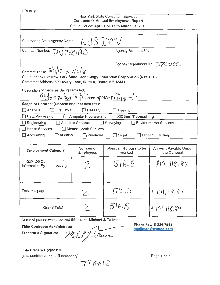#### FORM 8

#### New York State Consultant Services Contractor's Annual Employment Report Report Period: April 1, 2017 to March 31, 2018

| Contracting State Agency Name: NYS DMV                                                                                                    |                                            |  |  |  |
|-------------------------------------------------------------------------------------------------------------------------------------------|--------------------------------------------|--|--|--|
| Contract Number: PN 265AD                                                                                                                 | Agency Business Unit:                      |  |  |  |
|                                                                                                                                           | Agency Department ID: ろアのOOC               |  |  |  |
| Contract Term: $\frac{8}{21}$ /17 to $\frac{7}{31}$ /18                                                                                   |                                            |  |  |  |
| Contractor Name: New York State Technology Enterprise Corporation (NYSTEC)<br>Contractor Address: 500 Avery Lane, Suite A, Rome, NY 13441 |                                            |  |  |  |
| Description of Services Being Provided:                                                                                                   |                                            |  |  |  |
| $M$ odernization $R$ fp Development Support                                                                                               |                                            |  |  |  |
| Scope of Contract (Choose one that best fits):                                                                                            |                                            |  |  |  |
| Analysis<br>Evaluation<br>Research                                                                                                        | Training                                   |  |  |  |
| Data Processing<br>$\boxtimes$ Other IT consulting<br>Computer Programming                                                                |                                            |  |  |  |
| $\Box$ Engineering<br><b>Architect Services</b>                                                                                           | <b>Environmental Services</b><br>Surveying |  |  |  |
| $\Box$ Health Services<br>Mental Health Services                                                                                          |                                            |  |  |  |
| Accounting<br>Auditing<br>Paralegal                                                                                                       | Other Consulting<br>Legal                  |  |  |  |

| <b>Employment Category</b>                                                                                     | Number of<br><b>Employees</b> | Number of hours to be<br>worked | <b>Amount Payable Under</b><br>the Contract |  |
|----------------------------------------------------------------------------------------------------------------|-------------------------------|---------------------------------|---------------------------------------------|--|
| 11-3021.00 Computer and<br>Information Systems Manager                                                         |                               | 516.5                           | \$101, 118.84                               |  |
|                                                                                                                |                               |                                 |                                             |  |
| Total this page                                                                                                | Z                             | 516.5                           | \$101,118.84                                |  |
| <b>Grand Total</b>                                                                                             | Z                             | 516.5                           | \$101,118.84                                |  |
| Name of person who prepared this report: Michael J. Tallman                                                    |                               |                                 |                                             |  |
| Phone #: 315-334-7843<br><b>Title: Contracts Administrator</b><br>mtallman@nystec.com<br>Preparer's Signature: |                               |                                 |                                             |  |

Prepared this report: Michael J. Tallman<br>
inistrator<br>
: Michal J Lullwar

Date Prepared: 5/8/2018 (Use additional pages, if necessary)

 $T$  $40612$ 

Page 1 of 1